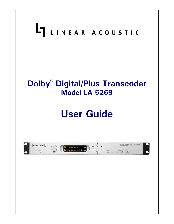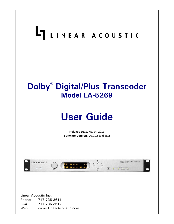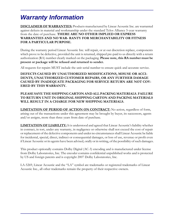# *Warranty Information*

**DISCLAIMER OF WARRANTIES:** Products manufactured by Linear Acoustic Inc. are warranted against defects in material and workmanship under the standard Telos Alliance 5-year warranty from the date of purchase . **THERE ARE NO OTHER IMPLIED OR EXPRESS WARRANTIES AND NO WAR- RANTY FOR MERCHANTABILITY OR FITNESS FOR A PARTICULAR PURPOSE.**

During the warranty period Linear Acoustic Inc. will repair, or at our discretion replace, components which prove to be defective, provided the unit is returned, shipped pre-paid to us directly with a return authorization (RA) number clearly marked on the packaging. **Please note, this RA number must be present or package will be refused and returned to sender.**

All requests for repairs MUST include the unit serial number to ensure quick and accurate service.

#### **DEFECTS CAUSED BY UNAUTHORIZED MODIFICATIONS, MISUSE OR ACCI-DENTS, UNAUTHORIZED CUSTOMER REPAIRS, OR ANY FURTHER DAMAGE CAUSED BY INADEQUATE PACKAGING FOR SERVICE RETURN ARE NOT COV-ERED BY THIS WARRANTY.**

#### **PLEASE SAVE THE SHIPPING CARTON AND ALL PACKING MATERIALS. FAILURE TO RETURN UNIT IN ORIGINAL SHIPPING CARTON AND PACKING MATERIALS WILL RESULT IN A CHARGE FOR NEW SHIPPING MATERIALS.**

**LIMITATION OF PERIOD OF ACTION ON CONTRACT:** No action, regardless of form, arising out of the transactions under this agreement may be brought by buyer, its successors, agents and/or assigns, more than three years from date of purchase.

**LIMITATION OF LIABILITY:** It is understood and agreed that Linear Acoustic's liability whether in contract, in tort, under any warranty, in negligence or otherwise shall not exceed the cost of repair or replacement of the defective components and under no circumstances shall Linear Acoustic be liable for incidental, special, direct, indirect or consequential damages, or loss of use, revenue or profit even if Linear Acoustic or its agents have been advised, orally or in writing, of the possibility of such damages.

This product optionally contains Dolby Digital (AC-3) encoding and is manufactured under license from Dolby Laboratories, Inc. The encoder contains confidential unpublished works and is protected by US and foreign patents and is copyright 2007 Dolby Laboratories, Inc.

LA-5269, Linear Acoustic and the "LA" symbol are trademarks or registered trademarks of Linear Acoustic Inc., all other trademarks remain the property of their respective owners.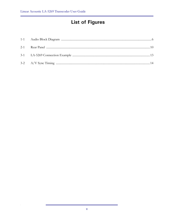## **List of Figures**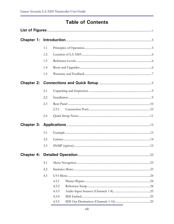## **Table of Contents**

| 1.1 |       |  |
|-----|-------|--|
| 1.2 |       |  |
| 1.3 |       |  |
| 1.4 |       |  |
| 1.5 |       |  |
|     |       |  |
| 2.1 |       |  |
| 2.2 |       |  |
| 2.3 |       |  |
|     | 2.3.1 |  |
| 2.4 |       |  |
|     |       |  |
| 3.1 |       |  |
| 3.2 |       |  |
| 3.3 |       |  |
|     |       |  |
| 4.1 |       |  |
| 4.2 |       |  |
| 4.3 |       |  |
|     | 4.3.1 |  |
|     | 4.3.2 |  |
|     | 4.3.3 |  |
|     | 4.3.4 |  |
|     | 4.3.5 |  |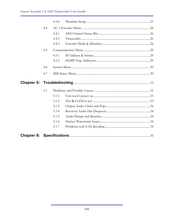|     | 4.3.6 |  |
|-----|-------|--|
| 4.4 |       |  |
|     | 4.4.1 |  |
|     | 4.4.2 |  |
|     | 4.4.3 |  |
| 4.5 |       |  |
|     | 4.5.1 |  |
|     | 4.5.2 |  |
| 4.6 |       |  |
| 4.7 |       |  |
|     |       |  |
|     |       |  |
| 5.1 |       |  |
|     | 5.1.1 |  |
|     | 5.1.2 |  |
|     | 5.1.3 |  |
|     | 5.1.4 |  |
|     | 5.1.5 |  |
|     | 5.1.6 |  |
|     | 5.1.7 |  |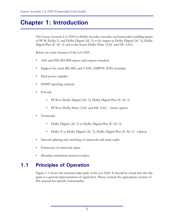# **Chapter 1: Introduction**

The Linear Acoustic LA-5269 is a Dolby decoder, encoder, and transcoder enabling inputs of PCM, Dolby E, and Dolby Digital (AC-3) to be output as Dolby Digital (AC-3), Dolby Digital Plus (E-AC-3) and in the future Dolby Pulse (AAC and HE AAC).

Below are some features of the LA-5269:

- AES and HD/SD-SDI inputs and outputs standard
- Support for serial (RS-485) and VANC (SMPTE 2020) metadata
- Dual power supplies
- SNMP reporting (option)
- Encode:
	- PCM to Dolby Digital (AC-3), Dolby Digital Plus (E-AC-3)
	- PCM to Dolby Pulse (AAC and HE AAC) future option
- Transcode:
	- Dolby Digital (AC-3) to Dolby Digital Plus (E-AC-3)
	- Dolby E to Dolby Digital (AC-3), Dolby Digital Plus (E-AC-3) Option
- Smooth splicing and switching of transcode and main audio
- Framesync of transcode input
- Metadata translation between codecs

## **1.1 Principles of Operation**

Figure 1-1 shows the internal audio path of the LA-5269. It should be noted that this diagram is a general representation of signal flow. Please consult the appropriate section of this manual for specific functionality.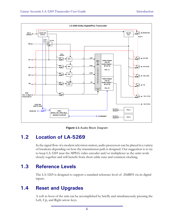

**Figure 1-1** Audio Block Diagram

### **1.2 Location of LA-5269**

In the signal flow of a modern television station, audio processors can be placed in a variety of locations depending on how the transmission path is designed. Our suggestion is to try to keep LA-5269 near the MPEG video encoder and/or multiplexer as the units work closely together and will benefit from short cable runs and common clocking.

### **1.3 Reference Levels**

The LA-5269 is designed to support a standard reference level of -20dBFS via its digital inputs.

## **1.4 Reset and Upgrades**

A soft re-boot of the unit can be accomplished by briefly and simultaneously pressing the Left, Up, and Right arrow keys.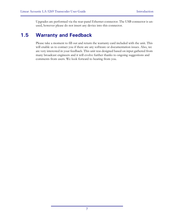Upgrades are performed via the rear-panel Ethernet connector. The USB connector is unused, however please do not insert any device into this connector.

### **1.5 Warranty and Feedback**

Please take a moment to fill out and return the warranty card included with the unit. This will enable us to contact you if there are any software or documentation issues. Also, we are very interested in your feedback. This unit was designed based on input gathered from many broadcast engineers and it will evolve further thanks to ongoing suggestions and comments from users. We look forward to hearing from you.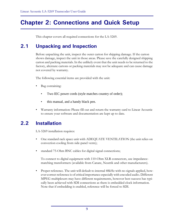# **Chapter 2: Connections and Quick Setup**

This chapter covers all required connections for the LA-5269.

## **2.1 Unpacking and Inspection**

Before unpacking the unit, inspect the outer carton for shipping damage. If the carton shows damage, inspect the unit in those areas. Please save the carefully designed shipping carton and packing materials. In the unlikely event that the unit needs to be returned to the factory, alternate cartons or packing materials may not be adequate and can cause damage not covered by warranty.

The following essential items are provided with the unit:

- Bag containing:
	- Two IEC power cords (style matches country of order);
	- this manual, and a handy black pen.
- Warranty information: Please fill out and return the warranty card to Linear Acoustic to ensure your software and documentation are kept up to date.

### **2.2 Installation**

LA-5269 installation requires:

- One standard rack space unit with ADEQUATE VENTILATION (the unit relies on convection cooling from side-panel vents);
- standard 75-Ohm BNC cables for digital signal connections;

To connect to digital equipment with 110-Ohm XLR connectors, use impedancematching transformers (available from Canare, Neutrik and other manufacturers).

• Proper reference. The unit will default to internal 48kHz with no signals applied, however correct reference is of critical importance especially with encoded audio. Different MPEG multiplexers may have different requirements, however best success has typically been achieved with SDI connections as there is embedded clock information. Note that if embedding is enabled, reference will be forced to SDI.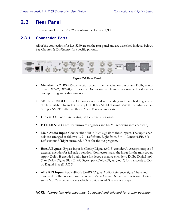### **2.3 Rear Panel**

The rear panel of the LA-5269 contains its electrical I/O.

#### **2.3.1 Connection Ports**

All of the connections for LA-5269 are on the rear panel and are described in detail below. See Chapter 5: *Specifications* for specific pinouts.



**Figure 2-1** Rear Panel

- **Metadata I/O:** RS-485 connection accepts the metadata output of any Dolby equipment (DP572, DP570, etc...) or any Dolby-compatible metadata source. Used to control upmixing and other functions.
- **SDI Input/SDI Output:** Option allows for de-embedding and re-embedding any of the 16 available channels in an applied HD or SD-SDI signal. VANC metadata extraction per SMPTE 2020 methods A and B is also supported.
- **GPI/O:** Output of unit status, GPI currently not used.
- **ETHERNET:** Used for firmware upgrades and SNMP reporting (see chapter 3)
- **Main Audio Input**: Connect the 48kHz PCM signals to these inputs. The input channels are arranged as follows:  $1/2 =$  Left front/Right front,  $3/4 =$  Center/LFE,  $5/6 =$ Left surround/Right surround.  $7/8$  is for the  $+2$  program.
- **Enc. A Bypass:** Bypass input for Dolby Digital (AC-3) encoder A. Accepts output of external encoder for fail-safe operation. Connector is also the input for the transcoder. Apply Dolby E encoded audio here for decode then re-encode to Dolby Digital (AC-3) or Dolby Digital Plus (E-AC-3), or apply Dolby Digital (AC-3) for transcode to Dolby Digital Plus (E-AC-3).
- **AES REf Input:** Apply 48kHz DARS (Digital Audio Reference Signal) here and choose AES Ref as clock source in Setup->I/O menu. Note that this is useful with some MPEG video encoders which provide an AES reference output.

*NOTE: Appropriate reference must be applied and selected for proper operation.*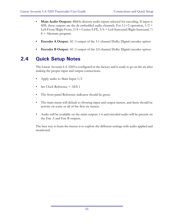- **Main Audio Outputs:** 48kHz discrete audio inputs selected for encoding. If input is SDI, these outputs are the de-embedded audio channels. For  $5.1+2$  operation,  $1/2 =$ Left Front/Right Front, 3/4 = Center/LFE, 5/6 = Left Surround/Right Surround, 7/ 8 = Alternate program.
- **Encoder A Output:** AC-3 output of the 5.1 channel Dolby Digital encoder option
- **Encoder B Output:** AC-3 output of the 2.0 channel Dolby Digital encoder option

## **2.4 Quick Setup Notes**

The Linear Acoustic LA-5269 is configured at the factory and is ready to go on the air after making the proper input and output connections.

- Apply audio to Main Input  $1/2$
- Set Clock Reference  $=$  AES 1
- The front panel Reference indicator should be green.
- The main menu will default to showing input and output meters, and there should be activity on some or all of the first six meters.
- Audio will be available on the main outputs 1-6 and encoded audio will be present on the Enc A and Enc B outputs.

The best way to learn the menus is to explore the different settings with audio applied and monitored.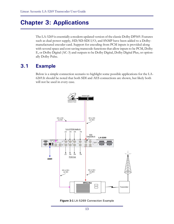## **Chapter 3: Applications**

The LA-5269 is essentially a modern updated version of the classic Dolby DP569. Features such as dual power supply, HD/SD-SDI I/O, and SNMP have been added to a Dolbymanufactured encoder card. Support for encoding from PCM inputs is provided along with several space and cost saving transcode functions that allow inputs to be PCM, Dolby E, or Dolby Digital (AC-3) and outputs to be Dolby Digital, Dolby Digital Plus, or optionally Dolby Pulse.

### **3.1 Example**

Below is a simple connection scenario to highlight some possible applications for the LA-6269.It should be noted that both SDI and AES connections are shown, but likely both will not be used in every case.



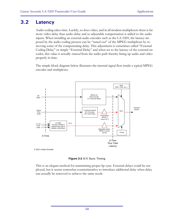### **3.2 Latency**

Audio coding takes time. Luckily, so does video, and in all modern multiplexers there is far more video delay than audio delay and so adjustable compensation is added to the audio inputs. When installing an external audio encoder such as the LA-5269, the latency imposed by the audio coding process can be "tuned out" of the MPEG multiplexer by removing some of the compensating delay. This adjustment is sometimes called "External Coding Delay" or simply "External Delay" and when set to the latency of the external encoder, this value is actually *removed* from the audio path thereby lining up audio and video properly in time.

The simple block diagram below illustrates the internal signal flow inside a typical MPEG encoder and multiplexer.



**Figure 3-2** A/V Sync Timing

This is an elegant method for maintaining proper lip sync. External delays could be employed, but it seems somewhat counterintuitive to introduce additional delay when delay can actually be removed to achieve the same result.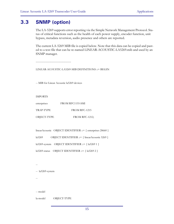### **3.3 SNMP (option)**

The LA-5269 supports error reporting via the Simple Network Management Protocol. Status of critical functions such as the health of each power supply, encoder function, unit bypass, metadata reversion, audio presence and others are reported.

The current LA-5269 MIB file is copied below. Note that this data can be copied and pasted to a text file that can be re-named LINEAR-ACOUSTIC-LA5269.mib and used by an SNMP manager.

---------------------------------

LINEAR-ACOUSTIC-LA5269-MIB DEFINITIONS ::= BEGIN

-- MIB for Linear Acoustic la5269 devices

IMPORTS

| enterprises | FROM RFC1155-SMI      |
|-------------|-----------------------|
| TRAP-TYPE   | FROM RFC-1215         |
| OBJECT-TYPE | <b>FROM RFC-1212:</b> |

linearAcoustic OBJECT IDENTIFIER ::= { enterprises 28660 }

la5269 OBJECT IDENTIFIER ::= { linearAcoustic 5269 }

la5269-system OBJECT IDENTIFIER ::= { la5269 1 }

la5269-status OBJECT IDENTIFIER ::= { la5269 2 }

-- -- la5269-system

--

-- model

la-model OBJECT-TYPE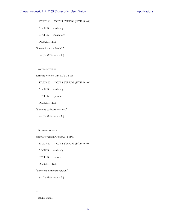#### SYNTAX OCTET STRING (SIZE  $(0..40)$ )

ACCESS read-only

STATUS mandatory

DESCRIPTION

"Linear Acoustic Model."

#### ::= { la5269-system 1 }

-- software version

software-version OBJECT-TYPE

#### SYNTAX OCTET STRING (SIZE  $(0..40)$ )

ACCESS read-only

STATUS optional

DESCRIPTION

"Device's software version."

::= { la5269-system 2 }

#### -- firmware version

firmware-version OBJECT-TYPE

SYNTAX OCTET STRING (SIZE  $(0..40)$ )

ACCESS read-only

STATUS optional

DESCRIPTION

"Devices's firmware version."

::=  ${ \lceil \text{la} 5269\text{-system 3} \rceil }$ 

--

-- la5269-status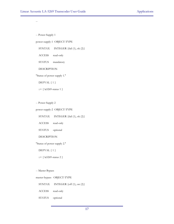--

-- Power Supply 1

power-supply-1 OBJECT-TYPE

SYNTAX INTEGER {fail (1), ok (2)}

ACCESS read-only

STATUS mandatory

DESCRIPTION

"Status of power supply 1."

DEFVAL  $\{ 1 \}$ 

::= { la5269-status 1 }

-- Power Supply 2

power-supply-2 OBJECT-TYPE

SYNTAX INTEGER {fail (1), ok (2)}

ACCESS read-only

STATUS optional

DESCRIPTION

"Status of power supply 2."

DEFVAL  $\{ 1 \}$ 

::= { la5269-status 2 }

-- Master Bypass

master-bypass OBJECT-TYPE

SYNTAX INTEGER {off (1), on (2)}

ACCESS read-only

STATUS optional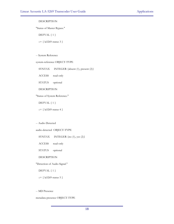#### DESCRIPTION

"Status of Master Bypass."

DEFVAL  $\{ 1 \}$ 

::= { la5269-status 3 }

-- System Reference

system-reference OBJECT-TYPE

SYNTAX INTEGER {absent (1), present (2)} ACCESS read-only STATUS optional

DESCRIPTION

"Status of System Reference."

DEFVAL  $\{ 1 \}$ 

::= { la5269-status 4 }

-- Audio Detected

audio-detected OBJECT-TYPE

SYNTAX INTEGER {no (1), yes (2)}

ACCESS read-only

STATUS optional

DESCRIPTION

"Detection of Audio Signal."

DEFVAL { 1 }

::= { la5269-status 5 }

-- MD Presence

metadata-presence OBJECT-TYPE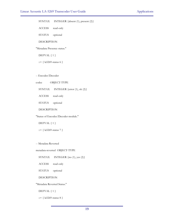SYNTAX INTEGER {absent (1), present (2)}

ACCESS read-only

STATUS optional

DESCRIPTION

"Metadata Presence status."

DEFVAL  $\{ 1 \}$ 

::= { la5269-status 6 }

-- Encoder/Decoder

codec OBJECT-TYPE

SYNTAX INTEGER {error (1), ok (2)}

ACCESS read-only

STATUS optional

DESCRIPTION

"Status of Encoder/Decoder module."

DEFVAL  $\{ 1 \}$ 

::= { la5269-status 7 }

-- Metadata Reverted

metadata-reverted OBJECT-TYPE

SYNTAX INTEGER {no (1), yes (2)}

ACCESS read-only

STATUS optional

DESCRIPTION

"Metadata Reverted Status."

DEFVAL  $\{ 1 \}$ 

::= { la5269-status 8 }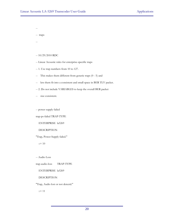--

-- traps

--

-- 10/29/2010 RDC

-- Linear Acoustic rules for enterprise-specific traps

- -- 1. Use trap numbers from 10 to 127.
- -- This makes them different from generic traps (0 5) and
- -- lets them fit into a consistent and small space in BER TLV packet.
- -- 2. Do not include VARIABLES to keep the overall BER packet
- -- size consistent.

-- power supply failed

trap-ps-failed TRAP-TYPE

ENTERPRISE la5269

DESCRIPTION

"Trap, Power Supply failed."

 $::= 10$ 

-- Audio Loss

trap-audio-loss TRAP-TYPE

ENTERPRISE la5269

DESCRIPTION

"Trap, Audio lost or not detectd."

 $::= 11$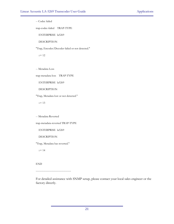-- Codec failed

trap-codec-failed TRAP-TYPE

ENTERPRISE la5269

DESCRIPTION

"Trap, Encoder/Decoder failed or not detected."

 $::= 12$ 

-- Metadata Loss

trap-metadata-loss TRAP-TYPE

ENTERPRISE la5269

DESCRIPTION

"Trap, Metadata lost or not detected."

 $::= 13$ 

-- Metadata Reverted

trap-metadata-reverted TRAP-TYPE

ENTERPRISE la5269

DESCRIPTION

"Trap, Metadata has reverted."

 $::= 14$ 

END

---------------------------------

For detailed assistance with SNMP setup, please contact your local sales engineer or the factory directly.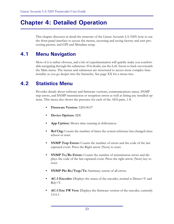# **Chapter 4: Detailed Operation**

This chapter discusses in detail the structure of the Linear Acoustic LA-5269, how to use the front panel interface to access the menus, accessing and saving factory and user processing presets, and GPI and Metadata setup.

## **4.1 Menu Navigation**

Most of it is rather obvious, and a bit of experimentation will quickly make you comfortable navigating through the submenus. If in doubt, use the Left Arrow to back out towards the Main menu. The menus and submenus are structured to access more complex functionality as you go deeper into the hierarchy. See page XX for a menu tree.

## **4.2 Statistics Menu**

Provides details about software and firmware versions, communications status, SNMP trap errors, and SNMP transmission or reception errors as well as listing any installed options. This menu also shows the presence for each of the AES pairs, 1-8.

- **Firmware Version:** 5269.00.07
- **Device Options:** SDI
- **App Uptime:** Shows time running in d:hh:mm:ss
- **Ref Chg:** Counts the number of times the system reference has changed since reboot or reset
- **SNMP Trap Errors:** Counts the number of errors and the code of the last captured event. Press the Right arrow (Next) to reset.
- **SNMP Tx/Rx Errors:** Counts the number of transmission errors and displays the code of the last captured event. Press the right arrow (Next) key to reset.
- **SNMP Pkt Rx/Trap/Tx:** Summary screen of all errors.
- **AC-3 Encoder:** Displays the status of the encoder, normal is Detect=Y and Rdy=Y.
- **AC-3 Enc FW Vers:** Displays the firmware version of the encoder, currently 2.0.6.1.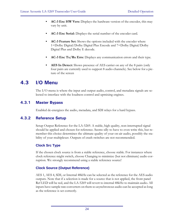- **AC-3 Enc HW Vers:** Displays the hardware version of the encoder, this may vary by unit.
- **AC-3 Enc Serial:** Displays the serial number of the encoder card.
- **AC-3 Feature Set:** Shows the options included with the encoder where 1=Dolby Digital/Dolby Digital Plus Encode and 7=Dolby Digital/Dolby Digital Plus and Dolby E decode.
- **AC-3 Enc Tx/Rx Errs:** Displays any communication errors and their type.
- **AES In Detect:** Shows presence of AES carrier on any of the 8 pairs (only four pairs are currently used to support 8 audio channels). See below for a picture of the screen

### **4.3 I/O Menu**

The I/O menu is where the input and output audio, control, and metadata signals are selected to interface with the loudness control and upmixing engines.

### **4.3.1 Master Bypass**

Enabled de-energizes the audio, metadata, and SDI relays for a hard bypass.

### **4.3.2 Reference Setup**

Setup Output Reference for the LA-5269. A stable, high quality, non-interrupted signal should be applied and chosen for reference. Seems silly to have to even write this, but remember this choice determines the ultimate quality of your on-air audio, possibly the stability of your multiplexer. Outputs of crash switches are not recommended.

#### **Clock Src Type**

If the chosen clock source is from a stable reference, choose stable. For instances where clock reference might switch, choose Changing to minimize (but not eliminate) audio corruption. We strongly recommend using a stable reference source!

#### **Clock Source (Output Reference)**

AES 1, AES 4, SDI, or Internal 48kHz can be selected as the reference for the AES audio outputs. Note that if a selection is made for a source that is not applied, the front panel Ref LED will be red, and the LA-5269 will revert to internal 48kHz to maintain audio. All inputs have sample rate converters on them so asynchronous audio can be accepted as long as the reference is set correctly.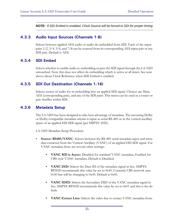*NOTE: If SDI Embed is enabled, Clock Source will be forced to SDI for proper timing.*

#### **4.3.3 Audio Input Sources (Channels 1-8)**

Selects between applied AES audio or audio de-embedded from SDI. Each of the input pairs 1/2, 3/4, 5/6, and 7/8 can be sourced from its corresponding AES input pair or any SDI pair. Default is AES.

#### **4.3.4 SDI Embed**

Selects whether to enable audio re-embedding or pass the SDI signal through the LA-5269 untouched. Note this does not affect de-embedding which is active at all times. See note above about Clock Reference when SDI Embed is enabled.

#### **4.3.5 SDI Out Destination (Channels 1-16)**

Selects source of audio for re-embedding into an applied SDI signal. Choices are Mute, AES (corresponding pair), and any of the SDI pairs. This menu can be used as a router or pair shuffler within SDI.

#### **4.3.6 Metadata Setup**

The LA-5269 has been designed to take best advantage of metadata. The incoming Dolby or Dolby-compatible metadata stream is input as serial RS-485 or in the vertical ancillary space of an applied HD-SDI signal (per SMPTE 2020).

LA-5269 Metadata Setup Procedure:

- **Source: RS485/VANC** Selects between the RS-485 serial metadata input and metadata extracted from the Vertical Ancillary (VANC) of an applied HD-SDI signal. For VANC metadata there are several other settings:
	- **VANC MD is Async:** Disabled for standard VANC metadata, Enabled for CBS-style VANC metadata. Default is Disabled.
	- **VANC DID:** Selects the Data ID of the metadata signal in hex. SMPTE RP2020 recommends this value be set to 0x45. Currently CBS network uses 0x50 but will be changing to 0x45. Default is 0x45.
	- **VANC SDID:** Selects the Secondary DID of the VANC metadata signal in hex. SMPTE RP2020 recommends this value be set to 0x01 and this is the default.
	- **VANC Extract Line:** Selects the video line to extract VANC metadata from.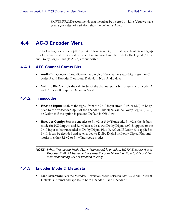SMPTE RP2020 recommends that metadata be inserted on Line 9, but we have seen a great deal of variation, thus the default is Auto.

## **4.4 AC-3 Encoder Menu**

The Dolby Digital encoder option provides two encoders, the first capable of encoding up to 5.1 channels and the second capable of up to two channels. Both Dolby Digital (AC-3) and Dolby Digital Plus (E-AC-3) are supported.

#### **4.4.1 AES Channel Status Bits**

- **Audio Bit:** Controls the audio/non-audio bit of the channel status bits present on Encoder A and Encoder B outputs. Default in Non-Audio data.
- **Validity Bit:** Controls the validity bit of the channel status bits present on Encoder A and Encoder B outputs. Default is Valid.

### **4.4.2 Transcoder**

- **Encode Input:** Enables the signal from the  $9/10$  input (from AES or SDI) to be applied to the transcoder input of the encoder. This signal can be Dolby Digital (AC-3) or Dolby E if the option is present. Default is Off Now.
- **Encoder Config:** Sets the encoder to 5.1+2 or 5.1+Transcode. 5.1+2 is the default mode for PCM inputs, and 5.1+Transcode allows Dolby Digital (AC-3) applied to the 9/10 input to be transcoded to Dolby Digital Plus (E-AC-3). If Dolby E is applied to 9/10, it can be decoded and re-encoded to Dolby Digital or Dolby Digital Plus and works in either 5.1+2 or 5.1+Transcode modes.

### **4.4.3 Encoder Mode & Metadata**

**• MD Reversion:** Sets the Metadata Reversion Mode between Last Valid and Internal. Default is Internal and applies to both Encoder A and Encoder B.

*NOTE: When Transcode Mode (5.1 + Transcode) is enabled, BOTH Encoder A and Encoder B MUST be set to the same Encoder Mode (i.e. Both to DD or DD+) else transcoding will not function reliably.*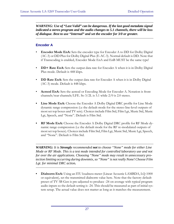*WARNING: Use of "Last Valid" can be dangerous. If the last good metadata signal indicated a stereo program and the audio changes to 5.1 channels, there will be loss of dialogue. Best to use "Internal" and set the encoder for 3/0 or greater.*

#### **Encoder A**

- **Encoder Mode EnA:** Sets the encoder type for Encoder A to DD for Dolby Digital (AC-3) or DD Plus for Dolby Digital Plus (E-AC-3). Normal default is DD. Note that if Transcoding is enabled, Encoder Mode EnA and EnB MUST be the same type!
- **DD+ Rate EnA:** Sets the output data rate for Encoder A when it is in Dolby Digital Plus mode. Default is 448 kbps.
- **DD Rate EnA:** Sets the output data rate for Encoder A when it is in Dolby Digital (AC-3) mode. Default is 448 kbps.
- **Acmod EnA:** Sets the acmod or Encoding Mode for Encoder A. Notation is front channels/rear channels/LFE. So 3/2L is 5.1 while 2/0 is 2.0 stereo.
- Line Mode EnA: Choose the Encoder A Dolby Digital DRC profile for Line Mode dynamic range compression (i.e the default mode for the stereo line-level outputs of most set top boxes and TV sets). Choices include Film Std, Film Lgt, Music Std, Music Lgt, Speech, and "None". Default is Film Std.
- **RF Mode EnA:** Choose the Encoder A Dolby Digital DRC profile for RF Mode dynamic range compression (i.e the default mode for the RF re-modulated outputs of most set top boxes). Choices include Film Std, Film Lgt, Music Std, Music Lgt, Speech, and "None". Default is Film Std.

*WARNING: It is Strongly recommended not to choose "None" mode for either Line Mode or RF Mode. This is a test mode intended for controlled laboratory use and not for over the air applications. Choosing "None" mode may result in unnecessary protection limiting occurring during downmix, so "None" is not really None! Choose Film Lgt. for minimal DRC action.*

**• Dialnorm EnA:** Using an ITU loudness meter (Linear Acoustic LAMBDA, LQ-1000 or equivalent), set the transmitted dialnorm value here. Note that the factory default preset of TV 5B Gen is pre-adjusted to produce -24 on average with typical program audio inputs so the default setting is -24. This should be measured as part of initial system setup. The actual value does not matter as long as it matches the measurement.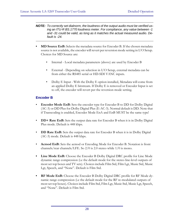- *NOTE: To correctly set dialnorm, the loudness of the output audio must be verified using an ITU-R BS.1770 loudness meter. For compliance, any value between -1 and -31 could be valid, as long as it matches the actual measured audio. Default is -24.*
- **MD Source EnB:** Selects the metadata source for Encoder B. If the chosen metadata source is not available, the encoder will revert per reversion mode setting in I/O Setup. Choices for MD Source are:
	- Internal Local metadata parameters (above) are used by Encoder B
	- External Depending on selection in I/O Setup, external metadata can be from either the RS485 serial or HD-SDI VANC inputs.
	- Dolby E Input With the Dolby E option installed, Metadata will come from an applied Dolby E bitstream. If Dolby E is removed or Encoder Input is set to off, the encoder will revert per the reversion mode setting.

#### **Encoder B**

- **Encoder Mode EnB:** Sets the encoder type for Encoder B to DD for Dolby Digital (AC-3) or DD Plus for Dolby Digital Plus (E-AC-3). Normal default is DD. Note that if Transcoding is enabled, Encoder Mode EnA and EnB MUST be the same type!
- **DD+ Rate EnB:** Sets the output data rate for Encoder B when it is in Dolby Digital Plus mode. Default is 448 kbps.
- **DD Rate EnB:** Sets the output data rate for Encoder B when it is in Dolby Digital (AC-3) mode. Default is 448 kbps.
- **Acmod EnB:** Sets the acmod or Encoding Mode for Encoder B. Notation is front channels/rear channels/LFE. So 2/0 is 2.0 stereo while 1/0 is mono.
- **Line Mode EnB:** Choose the Encoder B Dolby Digital DRC profile for Line Mode dynamic range compression (i.e the default mode for the stereo line-level outputs of most set top boxes and TV sets). Choices include Film Std, Film Lgt, Music Std, Music Lgt, Speech, and "None". Default is Film Std.
- **RF Mode EnB:** Choose the Encoder B Dolby Digital DRC profile for RF Mode dynamic range compression (i.e the default mode for the RF re-modulated outputs of most set top boxes). Choices include Film Std, Film Lgt, Music Std, Music Lgt, Speech, and "None". Default is Film Std.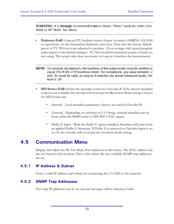*WARNING: It is Strongly recommended not to choose "None" mode for either Line Mode or RF Mode. See Above.*

**• Dialnorm EnB:** Using an ITU loudness meter (Linear Acoustic LAMBDA, LQ-1000 or equivalent), set the transmitted dialnorm value here. Note that the factory default preset of TV 5B Gen is pre-adjusted to produce -24 on average with typical program audio inputs so the default setting is -24. This should be measured as part of initial system setup. The actual value does not matter as long as it matches the measurement.

#### *NOTE: To correctly set dialnorm, the loudness of the output audio must be verified using an ITU-R BS.1770 loudness meter. For compliance, any value between -1 and -31 could be valid, as long as it matches the actual measured audio. Default is -24.*

- **MD Source EnB:** Selects the metadata source for Encoder B. If the chosen metadata source is not available, the encoder will revert per the Reversion Mode setting. Choices for MD Source are:
	- Internal Local metadata parameters (above) are used by Encoder B
	- External Depending on selection in I/O Setup, external metadata can be from either the RS485 serial or HD-SDI VANC inputs.
	- Dolby E Input With the Dolby E option installed, Metadata will come from an applied Dolby E bitstream. If Dolby E is removed or Encoder Input is set to off, the encoder will revert per the reversion mode setting.

### **4.5 Communication Menu**

Display and adjust the IP, Net Mask, Port addresses in this menu. The MAC address can also be found in this location. This is also where the two available SNMP trap addresses are set.

### **4.5.1 IP Address & Subnet**

Enter a valid IP address and subnet for connecting the LA-5269 to the network.

### **4.5.2 SNMP Trap Addresses**

Two trap IP addresses can be set and any messages will be relayed to both.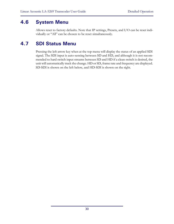### **4.6 System Menu**

Allows reset to factory defaults. Note that IP settings, Presets, and I/O can be reset individually or "All" can be chosen to be reset simultaneously.

## **4.7 SDI Status Menu**

Pressing the left arrow key when at the top menu will display the status of an applied SDI signal. The SDI input is auto-sensing between SD and HD, and although it is not recommended to hard switch input streams between SD and HD if a clean switch is desired, the unit will automatically track the change. HD or SD, frame rate and frequency are displayed. SD-SDI is shown on the left below, and HD-SDI is shown on the right.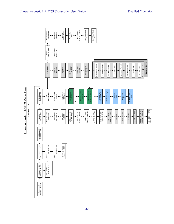|                                                       | SNMP Trap Addr 2<br>0.0.0.0<br>MAC Address<br>0050:C2:51:21:00<br>SNMP Trap Addr 1<br>0.0.0.0<br>Communication<br>Down To View<br>Net Mask<br>255.255.255<br>IP Address<br>192.168.1.20<br>Port Number<br>5100<br>↔<br>→<br>↞<br>↨                                                                                                                                                                                                                                                                                                                                                                                                                                                                                                                                                                                                                                                                                                                                                                                                                                                                                                                                 |
|-------------------------------------------------------|--------------------------------------------------------------------------------------------------------------------------------------------------------------------------------------------------------------------------------------------------------------------------------------------------------------------------------------------------------------------------------------------------------------------------------------------------------------------------------------------------------------------------------------------------------------------------------------------------------------------------------------------------------------------------------------------------------------------------------------------------------------------------------------------------------------------------------------------------------------------------------------------------------------------------------------------------------------------------------------------------------------------------------------------------------------------------------------------------------------------------------------------------------------------|
|                                                       | Set To Defaults<br>IP Comm, All<br>System<br>Down To View<br>↨                                                                                                                                                                                                                                                                                                                                                                                                                                                                                                                                                                                                                                                                                                                                                                                                                                                                                                                                                                                                                                                                                                     |
|                                                       | Encoder 2 (Ch 7-8)<br>Encoder Mode EnA: DD<br>Line Mode: Film Std<br>DD+ Rate EnA: 448<br>RF Mode: Film Std<br>DD Rate EnA: 448<br>Encoder 1 (Ch 1-6)<br>Acmod EnA: 3/2L<br>MD Source EnA<br>Encoder Config<br>$5.1 + 2$<br>AC-3 Encoder<br>MD Reversion:<br>Last Valid<br>Encode Input:<br>Off Now<br>Dialnorm: -24<br>Validity Bit:<br>Valid<br>Audio Bit:<br>Non-Audio<br>$\leftrightarrow$<br>↔<br>↔<br>$\leftrightarrow$<br>$\leftrightarrow$                                                                                                                                                                                                                                                                                                                                                                                                                                                                                                                                                                                                                                                                                                                 |
| Linear Acoustic LA-5269 Menu Tree<br>(Version 0.0.15) | SDI 1/2 Out Dest<br>AES Out 1/2, SDI In 1/2<br>VANC MD is Async<br>Off<br>VANC Extrat Line<br>Auto<br>SDI Embed Audio<br>Disable<br>Input 1/2 Source<br>AES 1/2<br>LA5269 Setup<br>Down To View<br>I/O<br>Down To View<br>Master Bypass<br>Metadata Src<br>RS-485/VANC<br>Clock Source<br>VANC SDID<br>0X01<br>AES Input 1<br>VANC DID<br>0x45<br>Disable<br>↔<br>↔<br>↔<br>↔<br>AES In 123 45678<br>Detect * - - - - - - - -<br>AC-3 Enc Rx & Tx Err:<br>Num=00 Code=0000<br>SNMP Trap Errs<br>Num=03 Code=0007<br>SNMP Tx Errors<br>Num=00 Code=0000<br>SNMP Rx Errors<br>Num=00 Code=0000<br>Ref Chg Num=000<br>No Ref Changes<br>SNMP Pkt Rx=0000<br>Trp=0000 Tx=0000<br>AC-3 Feature Set: 1<br>Firmware Version<br>5269 00 07<br>AC-3 Encoder<br>Detect=Y Rdy=Y<br>Statistics<br>Down To View<br>Device Options<br>SDI In/Out On<br>HW: V0.0.0.12<br>FW: V2.0.6.1<br>SN: 501000<br>App Uptime<br>0:23:18:00<br>٠<br>$\leftrightarrow$<br>↔<br>↨<br>Set MD Source To<br>Internal? NO<br>↨<br>LRCSLSRSLR<br>LRCSLSRSLR<br>MD In PCF = $5.1+2$<br>Pgm 1 3/2 DN=24<br>$\begin{array}{c} \vdots \\ \vdots \\ \vdots \end{array}$<br>↔<br>⊷<br>⊷<br>In $\dots\dots$ |
|                                                       | Output<br>Input<br>ᅩ<br>SDI Video SD-SDI<br>525 29.97 Hz 4:2:2<br>SDI Audio Grp 1<br>Chan 1- 2- 3- 4-<br>Linear Acoustic<br>LA5269 V0.0.14                                                                                                                                                                                                                                                                                                                                                                                                                                                                                                                                                                                                                                                                                                                                                                                                                                                                                                                                                                                                                         |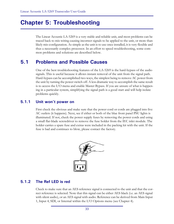# **Chapter 5: Troubleshooting**

The Linear Acoustic LA-5269 is a very stable and reliable unit, and most problems can be traced back to mis-wiring causing incorrect signals to be applied to the unit, or more than likely mis-configuration. As simple as the unit is to use once installed, it is very flexible and thus a necessarily complex processor. In an effort to speed troubleshooting, some common problems and solutions are described below.

## **5.1 Problems and Possible Causes**

One of the best troubleshooting features of the LA-5269 is the hard-bypass of the audio signals. This is useful because it allows instant removal of the unit from the signal path. Hard-bypass can be accomplished two ways, the simplest being to remove AC power from the unit by turning the power switch off. A less dramatic way to accomplish the same result is to access the I/O menu and enable Master Bypass. If you are unsure of what is happening in a particular system, simplifying the signal path is a good start and will help isolate problems quickly.

#### **5.1.1 Unit won't power on**

First check the obvious and make sure that the power cord or cords are plugged into live AC outlets (it happens). Next, see if either or both of the blue front panel PSU lights is illuminated. If not, check the power supply fuses by removing the power cords and using a small flat-blade screwdriver to remove the fuse holder from the IEC inlet module. The holder carries a spare fuse and extras were included in the packing kit with the unit. If the fuse is bad and continues to blow, please contact the factory.



### **5.1.2 The Ref LED is red**

Check to make sure that an AES reference signal is connected to the unit and that the correct reference is selected. Note that this signal can be either AES black (i.e. an AES signal with silent audio), or an AES signal with audio. Reference can be derived from Main Input 1, Input 4, SDI, or Internal within the I/O Options menu (see Chapter 4).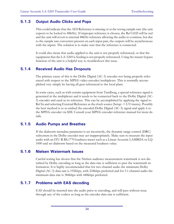### **5.1.3 Output Audio Clicks and Pops**

This could indicate that the AES Reference is missing or at the wrong sample rate (the unit expects to be locked to 48kHz). If improper reference is chosen, the Ref LED will be red and the unit will revert to internal 48kHz reference allowing the audio to continue, but due to the sample rate converters present on each input pair, the outputs will be asynchronous with the inputs. The solution is to make sure that the reference is connected.

It could also mean that audio applied to the unit is not properly referenced, or that the equipment that the LA-5269 is feeding is not properly referenced. Using the master bypass function of the unit is a helpful way to troubleshoot this issue.

### **5.1.4 Received Audio Has Dropouts**

The primary cause of this is the Dolby Digital (AC-3) encoder not being properly referenced with respect to the MPEG video encoder/multiplexer. This is normally accomplished very simply by having all gear referenced to the local plant.

In some cases, such as with certain equipment from Tandberg, a special reference signal is generated in the multiplexer and it needs to be connected back to the Dolby Digital (AC-3) encoder and used as its reference. This can be accomplished by applying the signal to Ref In and selecting External Reference as the clock source (Setup -> I/O menu). Possibly the best method is to re-embed the encoded Dolby Digital (AC-3) signal and apply it to the MPEG encoder via SDI. Consult your MPEG encoder reference manual for more details.

#### **5.1.5 Audio Pumps and Breathes**

If the dialnorm metadata parameter is set incorrectly, the dynamic range control (DRC) subsystem in the Dolby encoder may act inappropriately. Make sure to measure the input audio with an ITU-R BS.1770 loudness meter such as a Linear Acoustic LAMBDA or LQ-1000 and set dialnorm based on the measured loudness value.

#### **5.1.6 Nielsen Watermark Issues**

Careful testing has shown that the Nielsen audience measurement watermark is not disturbed by Dolby encoding as long as the data rate is sufficient to pass the watermark information. It is highly recommended that for two channel audio the minimum Dolby Digital (AC-3) data rate is 192kbps, with 224kbps preferred and for 5.1 channel audio the minimum data rate is 384kbps with 448kbps preferred.

#### **5.1.7 Problems with EAS decoding**

EAS should be inserted into the audio prior to encoding, and will pass without issue through any of the codecs as long as the encoder data rate is sufficient.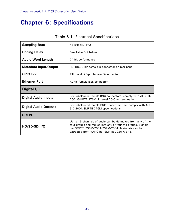# **Chapter 6: Specifications**

| <b>Sampling Rate</b>         | 48 kHz $(\pm 0.1\%)$                                                                                                                                                                                                     |  |
|------------------------------|--------------------------------------------------------------------------------------------------------------------------------------------------------------------------------------------------------------------------|--|
| <b>Coding Delay</b>          | See Table 6-2 below.                                                                                                                                                                                                     |  |
| <b>Audio Word Length</b>     | 24-bit performance                                                                                                                                                                                                       |  |
| <b>Metadata Input/Output</b> | RS-485, 9-pin female D-connector on rear panel                                                                                                                                                                           |  |
| <b>GPIO Port</b>             | TTL level, 25-pin female D-connector                                                                                                                                                                                     |  |
| <b>Ethernet Port</b>         | RJ-45 female jack connector                                                                                                                                                                                              |  |
| Digital I/O                  |                                                                                                                                                                                                                          |  |
| <b>Digital Audio Inputs</b>  | Six unbalanced female BNC connectors, comply with AES-3ID-<br>2001/SMPTE 276M. Internal 75-Ohm termination.                                                                                                              |  |
| <b>Digital Audio Outputs</b> | Six unbalanced female BNC connectors that comply with AES-<br>3ID-2001/SMPTE 276M specifications.                                                                                                                        |  |
| SDI I/O                      |                                                                                                                                                                                                                          |  |
| HD/SD-SDI I/O                | Up to 16 channels of audio can be de-muxed from any of the<br>four groups and muxed into any of four the groups. Signals<br>per SMPTE 299M-2004/292M-2004. Metadata can be<br>extracted from VANC per SMPTE 2020 A or B. |  |

### Table 6-1 Electrical Specifications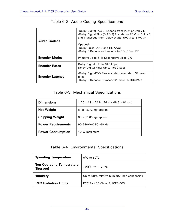| Audio Codecs           | -Dolby Digital (AC-3) Encode from PCM or Dolby E<br>-Dolby Digital Plus (E-AC-3) Encode for PCM or Dolby E<br>and Transcode from Dolby Digital (AC-3 to E-AC-3)<br>Optional:<br>-Dolby Pulse (AAC and HE AAC)<br>-Dolby E Decode and encode to $DD$ , $DD +$ , $DP$ |
|------------------------|---------------------------------------------------------------------------------------------------------------------------------------------------------------------------------------------------------------------------------------------------------------------|
| <b>Encoder Modes</b>   | Primary: up to 5.1; Secondary: up to 2.0                                                                                                                                                                                                                            |
| <b>Encoder Rates</b>   | Dolby Digital: Up to 640 kbps<br>Dolby Digital Plus: Up to 1532 kbps                                                                                                                                                                                                |
| <b>Encoder Latency</b> | -Dolby Digital/DD Plus encode/transcode: 137msec<br>fixed<br>-Dolby E Decode: 99msec/120msec (NTSC/PAL)                                                                                                                                                             |

### Table 6-2 Audio Coding Specifications

### Table 6-3 Mechanical Specifications

| <b>Dimensions</b>         | $1.75 \times 19 \times 24$ in $(44.4 \times 48.3 \times 61$ cm) |
|---------------------------|-----------------------------------------------------------------|
| <b>Net Weight</b>         | 6 lbs $(2.72 \text{ kg})$ approx.                               |
| <b>Shipping Weight</b>    | 8 lbs (3.63 kg) approx.                                         |
| <b>Power Requirements</b> | 90-240VAC 50-60 Hz                                              |
| <b>Power Consumption</b>  | 40 W maximum                                                    |

### Table 6-4 Environmental Specifications

| <b>Operating Temperature</b>                  | $0^{\circ}$ C to 50 $^{\circ}$ C            |
|-----------------------------------------------|---------------------------------------------|
| <b>Non Operating Temperature</b><br>(Storage) | $-20^{\circ}$ C to $+70^{\circ}$ C          |
| <b>Humidity</b>                               | Up to 98% relative humidity, non-condensing |
| <b>EMC Radiation Limits</b>                   | FCC Part 15 Class A, ICES-003               |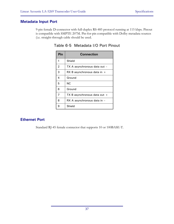#### **Metadata Input Port**

9-pin female D-connector with full-duplex RS-485 protocol running at 115 kbps. Pinout is compatible with SMPTE 207M. Pin-for-pin compatible with Dolby metadata sources (i.e. straight-through cable should be used.

| Pin            | <b>Connection</b>              |
|----------------|--------------------------------|
| 1              | Shield                         |
| $\overline{2}$ | TX A asynchronous data out -   |
| 3              | RX B asynchronous data in $+$  |
| 4              | Ground                         |
| 5              | ΝC                             |
| 6              | Ground                         |
| 7              | TX B asynchronous data out $+$ |
| 8              | RX A asynchronous data in -    |
| 9              | Shield                         |

### Table 6-5 Metadata I/O Port Pinout

### **Ethernet Port**

Standard RJ-45 female connector that supports 10 or 100BASE-T.